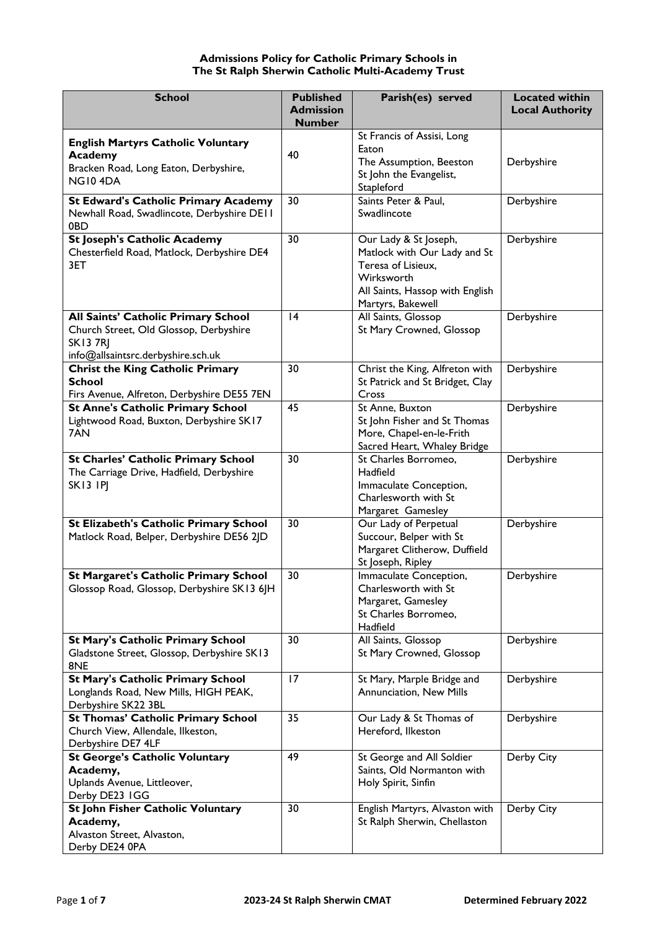# **Admissions Policy for Catholic Primary Schools in The St Ralph Sherwin Catholic Multi-Academy Trust**

| <b>School</b>                                                                              | <b>Published</b><br><b>Admission</b> | Parish(es) served                                       | <b>Located within</b><br><b>Local Authority</b> |
|--------------------------------------------------------------------------------------------|--------------------------------------|---------------------------------------------------------|-------------------------------------------------|
|                                                                                            | <b>Number</b>                        |                                                         |                                                 |
| <b>English Martyrs Catholic Voluntary</b>                                                  |                                      | St Francis of Assisi, Long                              |                                                 |
| Academy                                                                                    | 40                                   | Eaton                                                   |                                                 |
| Bracken Road, Long Eaton, Derbyshire,                                                      |                                      | The Assumption, Beeston<br>St John the Evangelist,      | Derbyshire                                      |
| NG104DA                                                                                    |                                      | Stapleford                                              |                                                 |
| <b>St Edward's Catholic Primary Academy</b>                                                | 30                                   | Saints Peter & Paul,                                    | Derbyshire                                      |
| Newhall Road, Swadlincote, Derbyshire DEII                                                 |                                      | Swadlincote                                             |                                                 |
| 0BD                                                                                        |                                      |                                                         |                                                 |
| <b>St Joseph's Catholic Academy</b>                                                        | 30                                   | Our Lady & St Joseph,                                   | Derbyshire                                      |
| Chesterfield Road, Matlock, Derbyshire DE4                                                 |                                      | Matlock with Our Lady and St                            |                                                 |
| 3ET                                                                                        |                                      | Teresa of Lisieux,<br>Wirksworth                        |                                                 |
|                                                                                            |                                      | All Saints, Hassop with English                         |                                                 |
|                                                                                            |                                      | Martyrs, Bakewell                                       |                                                 |
| All Saints' Catholic Primary School                                                        | 4                                    | All Saints, Glossop                                     | Derbyshire                                      |
| Church Street, Old Glossop, Derbyshire                                                     |                                      | St Mary Crowned, Glossop                                |                                                 |
| <b>SK137RJ</b>                                                                             |                                      |                                                         |                                                 |
| info@allsaintsrc.derbyshire.sch.uk                                                         |                                      |                                                         |                                                 |
| <b>Christ the King Catholic Primary</b>                                                    | 30                                   | Christ the King, Alfreton with                          | Derbyshire                                      |
| <b>School</b><br>Firs Avenue, Alfreton, Derbyshire DE55 7EN                                |                                      | St Patrick and St Bridget, Clay<br>Cross                |                                                 |
| <b>St Anne's Catholic Primary School</b>                                                   | 45                                   | St Anne, Buxton                                         | Derbyshire                                      |
| Lightwood Road, Buxton, Derbyshire SK17                                                    |                                      | St John Fisher and St Thomas                            |                                                 |
| 7AN                                                                                        |                                      | More, Chapel-en-le-Frith                                |                                                 |
|                                                                                            |                                      | Sacred Heart, Whaley Bridge                             |                                                 |
| <b>St Charles' Catholic Primary School</b>                                                 | 30                                   | St Charles Borromeo,                                    | Derbyshire                                      |
| The Carriage Drive, Hadfield, Derbyshire<br><b>SK13 IPJ</b>                                |                                      | Hadfield<br>Immaculate Conception,                      |                                                 |
|                                                                                            |                                      | Charlesworth with St                                    |                                                 |
|                                                                                            |                                      | Margaret Gamesley                                       |                                                 |
| St Elizabeth's Catholic Primary School                                                     | 30                                   | Our Lady of Perpetual                                   | Derbyshire                                      |
| Matlock Road, Belper, Derbyshire DE56 2JD                                                  |                                      | Succour, Belper with St                                 |                                                 |
|                                                                                            |                                      | Margaret Clitherow, Duffield                            |                                                 |
|                                                                                            |                                      | St Joseph, Ripley                                       |                                                 |
| <b>St Margaret's Catholic Primary School</b><br>Glossop Road, Glossop, Derbyshire SK13 6JH | 30                                   | Immaculate Conception,<br>Charlesworth with St          | Derbyshire                                      |
|                                                                                            |                                      | Margaret, Gamesley                                      |                                                 |
|                                                                                            |                                      | St Charles Borromeo,                                    |                                                 |
|                                                                                            |                                      | Hadfield                                                |                                                 |
| <b>St Mary's Catholic Primary School</b>                                                   | 30                                   | All Saints, Glossop                                     | Derbyshire                                      |
| Gladstone Street, Glossop, Derbyshire SK13                                                 |                                      | St Mary Crowned, Glossop                                |                                                 |
| 8NE<br><b>St Mary's Catholic Primary School</b>                                            | 17                                   | St Mary, Marple Bridge and                              | Derbyshire                                      |
| Longlands Road, New Mills, HIGH PEAK,                                                      |                                      | Annunciation, New Mills                                 |                                                 |
| Derbyshire SK22 3BL                                                                        |                                      |                                                         |                                                 |
| <b>St Thomas' Catholic Primary School</b>                                                  | 35                                   | Our Lady & St Thomas of                                 | Derbyshire                                      |
| Church View, Allendale, Ilkeston,                                                          |                                      | Hereford, Ilkeston                                      |                                                 |
| Derbyshire DE7 4LF                                                                         |                                      |                                                         |                                                 |
| <b>St George's Catholic Voluntary</b>                                                      | 49                                   | St George and All Soldier<br>Saints, Old Normanton with | Derby City                                      |
| Academy,<br>Uplands Avenue, Littleover,                                                    |                                      | Holy Spirit, Sinfin                                     |                                                 |
| Derby DE23 IGG                                                                             |                                      |                                                         |                                                 |
| St John Fisher Catholic Voluntary                                                          | 30                                   | English Martyrs, Alvaston with                          | Derby City                                      |
| Academy,                                                                                   |                                      | St Ralph Sherwin, Chellaston                            |                                                 |
| Alvaston Street, Alvaston,                                                                 |                                      |                                                         |                                                 |
| Derby DE24 0PA                                                                             |                                      |                                                         |                                                 |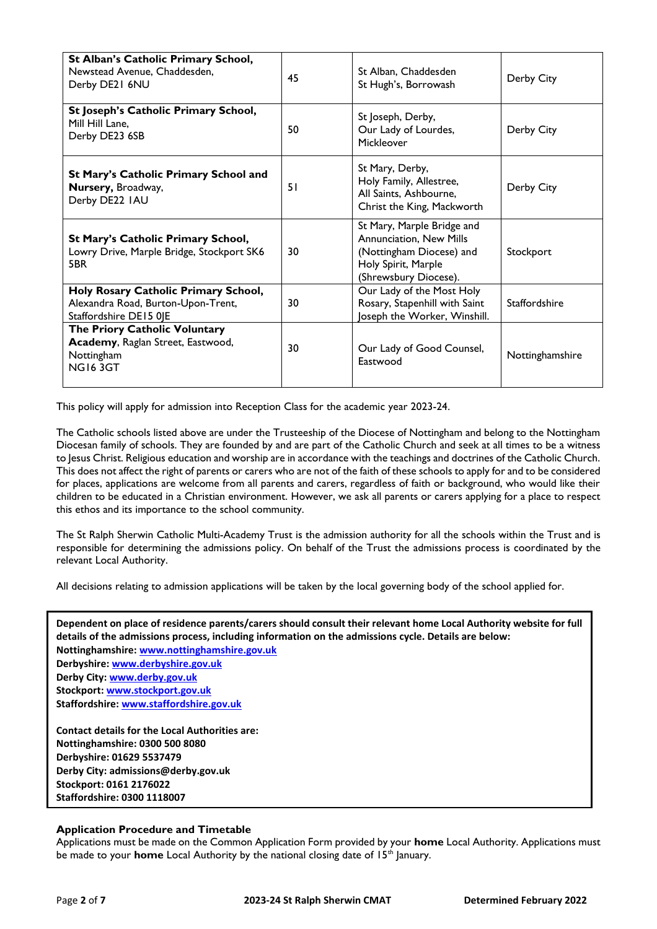| St Alban's Catholic Primary School,<br>Newstead Avenue, Chaddesden,<br>Derby DE21 6NU                | 45 | St Alban, Chaddesden<br>St Hugh's, Borrowash                                                                                      | Derby City           |
|------------------------------------------------------------------------------------------------------|----|-----------------------------------------------------------------------------------------------------------------------------------|----------------------|
| St Joseph's Catholic Primary School,<br>Mill Hill Lane.<br>Derby DE23 6SB                            | 50 | St Joseph, Derby,<br>Our Lady of Lourdes,<br>Mickleover                                                                           | Derby City           |
| St Mary's Catholic Primary School and<br>Nursery, Broadway,<br>Derby DE22 IAU                        | 51 | St Mary, Derby,<br>Holy Family, Allestree,<br>All Saints, Ashbourne,<br>Christ the King, Mackworth                                | Derby City           |
| St Mary's Catholic Primary School,<br>Lowry Drive, Marple Bridge, Stockport SK6<br>5BR               | 30 | St Mary, Marple Bridge and<br>Annunciation, New Mills<br>(Nottingham Diocese) and<br>Holy Spirit, Marple<br>(Shrewsbury Diocese). | Stockport            |
| Holy Rosary Catholic Primary School,<br>Alexandra Road, Burton-Upon-Trent,<br>Staffordshire DE15 0JE | 30 | Our Lady of the Most Holy<br>Rosary, Stapenhill with Saint<br>Joseph the Worker, Winshill.                                        | <b>Staffordshire</b> |
| The Priory Catholic Voluntary<br>Academy, Raglan Street, Eastwood,<br>Nottingham<br><b>NG163GT</b>   | 30 | Our Lady of Good Counsel,<br>Eastwood                                                                                             | Nottinghamshire      |

This policy will apply for admission into Reception Class for the academic year 2023-24.

The Catholic schools listed above are under the Trusteeship of the Diocese of Nottingham and belong to the Nottingham Diocesan family of schools. They are founded by and are part of the Catholic Church and seek at all times to be a witness to Jesus Christ. Religious education and worship are in accordance with the teachings and doctrines of the Catholic Church. This does not affect the right of parents or carers who are not of the faith of these schools to apply for and to be considered for places, applications are welcome from all parents and carers, regardless of faith or background, who would like their children to be educated in a Christian environment. However, we ask all parents or carers applying for a place to respect this ethos and its importance to the school community.

The St Ralph Sherwin Catholic Multi-Academy Trust is the admission authority for all the schools within the Trust and is responsible for determining the admissions policy. On behalf of the Trust the admissions process is coordinated by the relevant Local Authority.

All decisions relating to admission applications will be taken by the local governing body of the school applied for.

**Dependent on place of residence parents/carers should consult their relevant home Local Authority website for full details of the admissions process, including information on the admissions cycle. Details are below: Nottinghamshire: [www.nottinghamshire.gov.uk](http://www.nottinghamshire.gov.uk/) Derbyshire[: www.derbyshire.gov.uk](http://www.derbyshire.gov.uk/) Derby City: [www.derby.gov.uk](http://www.derby.gov.uk/) Stockport[: www.stockport.gov.uk](http://www.stockport.gov.uk/) Staffordshire: [www.staffordshire.gov.uk](http://www.staffordshire.gov.uk/)**

**Contact details for the Local Authorities are: Nottinghamshire: 0300 500 8080 Derbyshire: 01629 5537479 Derby City: admissions@derby.gov.uk Stockport: 0161 2176022 Staffordshire: 0300 1118007**

# **Application Procedure and Timetable**

Applications must be made on the Common Application Form provided by your **home** Local Authority. Applications must be made to your **home** Local Authority by the national closing date of 15<sup>th</sup> January.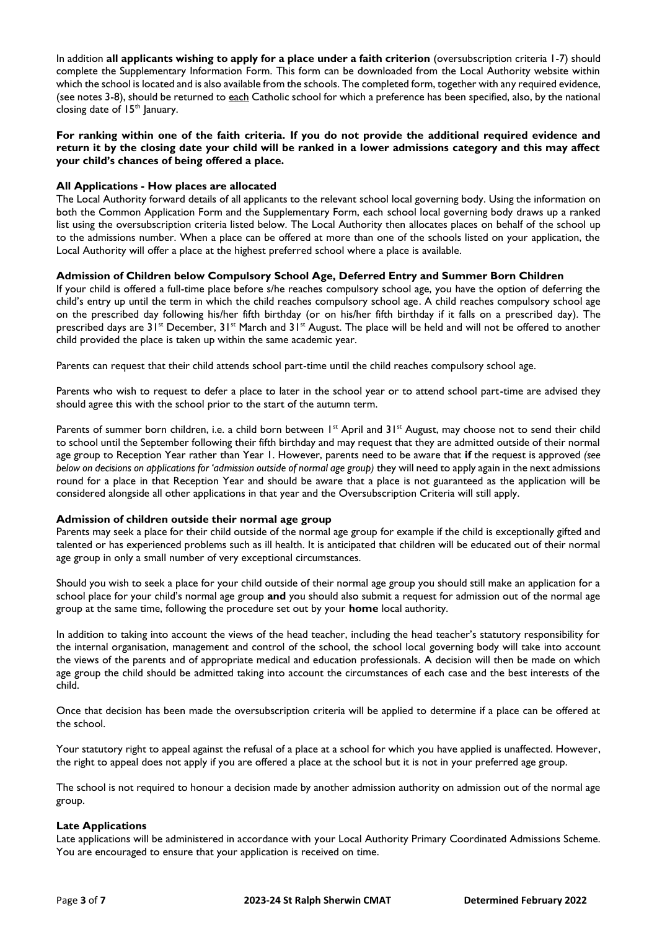In addition **all applicants wishing to apply for a place under a faith criterion** (oversubscription criteria 1-7) should complete the Supplementary Information Form. This form can be downloaded from the Local Authority website within which the school is located and is also available from the schools. The completed form, together with any required evidence, (see notes 3-8), should be returned to each Catholic school for which a preference has been specified, also, by the national closing date of  $15<sup>th</sup>$  January.

**For ranking within one of the faith criteria. If you do not provide the additional required evidence and return it by the closing date your child will be ranked in a lower admissions category and this may affect your child's chances of being offered a place.**

## **All Applications - How places are allocated**

The Local Authority forward details of all applicants to the relevant school local governing body. Using the information on both the Common Application Form and the Supplementary Form, each school local governing body draws up a ranked list using the oversubscription criteria listed below. The Local Authority then allocates places on behalf of the school up to the admissions number. When a place can be offered at more than one of the schools listed on your application, the Local Authority will offer a place at the highest preferred school where a place is available.

## **Admission of Children below Compulsory School Age, Deferred Entry and Summer Born Children**

If your child is offered a full-time place before s/he reaches compulsory school age, you have the option of deferring the child's entry up until the term in which the child reaches compulsory school age. A child reaches compulsory school age on the prescribed day following his/her fifth birthday (or on his/her fifth birthday if it falls on a prescribed day). The prescribed days are 31<sup>st</sup> December, 31<sup>st</sup> March and 31<sup>st</sup> August. The place will be held and will not be offered to another child provided the place is taken up within the same academic year.

Parents can request that their child attends school part-time until the child reaches compulsory school age.

Parents who wish to request to defer a place to later in the school year or to attend school part-time are advised they should agree this with the school prior to the start of the autumn term.

Parents of summer born children, i.e. a child born between  $1<sup>st</sup>$  April and  $31<sup>st</sup>$  August, may choose not to send their child to school until the September following their fifth birthday and may request that they are admitted outside of their normal age group to Reception Year rather than Year 1. However, parents need to be aware that **if** the request is approved *(see below on decisions on applications for 'admission outside of normal age group*) they will need to apply again in the next admissions round for a place in that Reception Year and should be aware that a place is not guaranteed as the application will be considered alongside all other applications in that year and the Oversubscription Criteria will still apply.

## **Admission of children outside their normal age group**

Parents may seek a place for their child outside of the normal age group for example if the child is exceptionally gifted and talented or has experienced problems such as ill health. It is anticipated that children will be educated out of their normal age group in only a small number of very exceptional circumstances.

Should you wish to seek a place for your child outside of their normal age group you should still make an application for a school place for your child's normal age group **and** you should also submit a request for admission out of the normal age group at the same time, following the procedure set out by your **home** local authority.

In addition to taking into account the views of the head teacher, including the head teacher's statutory responsibility for the internal organisation, management and control of the school, the school local governing body will take into account the views of the parents and of appropriate medical and education professionals. A decision will then be made on which age group the child should be admitted taking into account the circumstances of each case and the best interests of the child.

Once that decision has been made the oversubscription criteria will be applied to determine if a place can be offered at the school.

Your statutory right to appeal against the refusal of a place at a school for which you have applied is unaffected. However, the right to appeal does not apply if you are offered a place at the school but it is not in your preferred age group.

The school is not required to honour a decision made by another admission authority on admission out of the normal age group.

## **Late Applications**

Late applications will be administered in accordance with your Local Authority Primary Coordinated Admissions Scheme. You are encouraged to ensure that your application is received on time.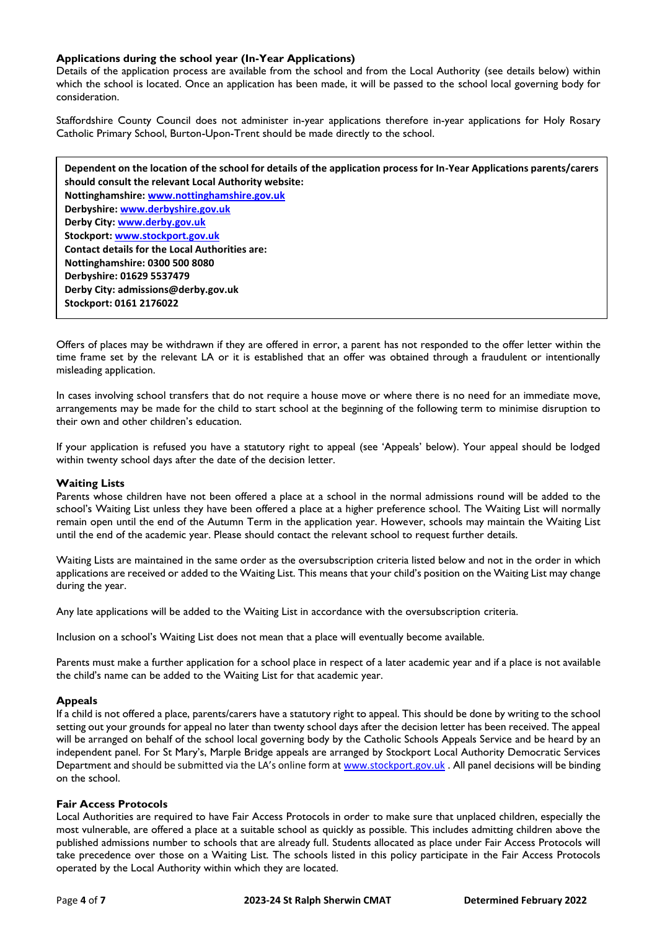## **Applications during the school year (In-Year Applications)**

Details of the application process are available from the school and from the Local Authority (see details below) within which the school is located. Once an application has been made, it will be passed to the school local governing body for consideration.

Staffordshire County Council does not administer in-year applications therefore in-year applications for Holy Rosary Catholic Primary School, Burton-Upon-Trent should be made directly to the school.

**Dependent on the location of the school for details of the application process for In-Year Applications parents/carers should consult the relevant Local Authority website: Nottinghamshire: [www.nottinghamshire.gov.uk](http://www.nottinghamshire.gov.uk/) Derbyshire: [www.derbyshire.gov.uk](http://www.derbyshire.gov.uk/)  Derby City: [www.derby.gov.uk](http://www.derby.gov.uk/) Stockport: [www.stockport.gov.uk](http://www.stockport.gov.uk/) Contact details for the Local Authorities are: Nottinghamshire: 0300 500 8080 Derbyshire: 01629 5537479 Derby City: admissions@derby.gov.uk Stockport: 0161 2176022**

Offers of places may be withdrawn if they are offered in error, a parent has not responded to the offer letter within the time frame set by the relevant LA or it is established that an offer was obtained through a fraudulent or intentionally misleading application.

In cases involving school transfers that do not require a house move or where there is no need for an immediate move, arrangements may be made for the child to start school at the beginning of the following term to minimise disruption to their own and other children's education.

If your application is refused you have a statutory right to appeal (see 'Appeals' below). Your appeal should be lodged within twenty school days after the date of the decision letter.

## **Waiting Lists**

Parents whose children have not been offered a place at a school in the normal admissions round will be added to the school's Waiting List unless they have been offered a place at a higher preference school. The Waiting List will normally remain open until the end of the Autumn Term in the application year. However, schools may maintain the Waiting List until the end of the academic year. Please should contact the relevant school to request further details.

Waiting Lists are maintained in the same order as the oversubscription criteria listed below and not in the order in which applications are received or added to the Waiting List. This means that your child's position on the Waiting List may change during the year.

Any late applications will be added to the Waiting List in accordance with the oversubscription criteria.

Inclusion on a school's Waiting List does not mean that a place will eventually become available.

Parents must make a further application for a school place in respect of a later academic year and if a place is not available the child's name can be added to the Waiting List for that academic year.

## **Appeals**

If a child is not offered a place, parents/carers have a statutory right to appeal. This should be done by writing to the school setting out your grounds for appeal no later than twenty school days after the decision letter has been received. The appeal will be arranged on behalf of the school local governing body by the Catholic Schools Appeals Service and be heard by an independent panel. For St Mary's, Marple Bridge appeals are arranged by Stockport Local Authority Democratic Services Department and should be submitted via the LA's online form at [www.stockport.gov.uk](http://www.stockport.gov.uk/). All panel decisions will be binding on the school.

## **Fair Access Protocols**

Local Authorities are required to have Fair Access Protocols in order to make sure that unplaced children, especially the most vulnerable, are offered a place at a suitable school as quickly as possible. This includes admitting children above the published admissions number to schools that are already full. Students allocated as place under Fair Access Protocols will take precedence over those on a Waiting List. The schools listed in this policy participate in the Fair Access Protocols operated by the Local Authority within which they are located.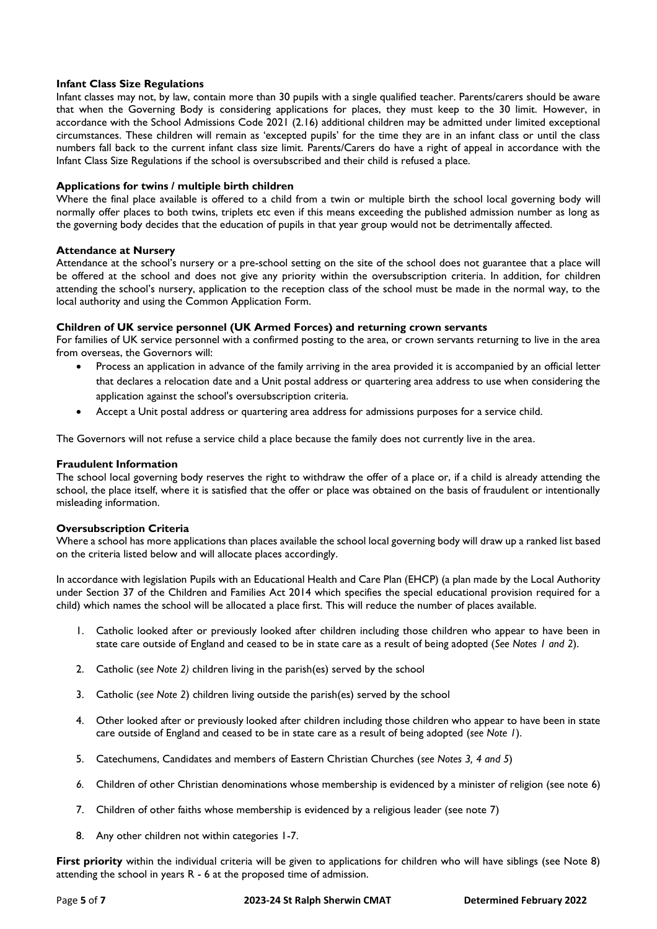## **Infant Class Size Regulations**

Infant classes may not, by law, contain more than 30 pupils with a single qualified teacher. Parents/carers should be aware that when the Governing Body is considering applications for places, they must keep to the 30 limit. However, in accordance with the School Admissions Code 2021 (2.16) additional children may be admitted under limited exceptional circumstances. These children will remain as 'excepted pupils' for the time they are in an infant class or until the class numbers fall back to the current infant class size limit. Parents/Carers do have a right of appeal in accordance with the Infant Class Size Regulations if the school is oversubscribed and their child is refused a place.

## **Applications for twins / multiple birth children**

Where the final place available is offered to a child from a twin or multiple birth the school local governing body will normally offer places to both twins, triplets etc even if this means exceeding the published admission number as long as the governing body decides that the education of pupils in that year group would not be detrimentally affected.

## **Attendance at Nursery**

Attendance at the school's nursery or a pre-school setting on the site of the school does not guarantee that a place will be offered at the school and does not give any priority within the oversubscription criteria. In addition, for children attending the school's nursery, application to the reception class of the school must be made in the normal way, to the local authority and using the Common Application Form.

## **Children of UK service personnel (UK Armed Forces) and returning crown servants**

For families of UK service personnel with a confirmed posting to the area, or crown servants returning to live in the area from overseas, the Governors will:

- Process an application in advance of the family arriving in the area provided it is accompanied by an official letter that declares a relocation date and a Unit postal address or quartering area address to use when considering the application against the school's oversubscription criteria.
- Accept a Unit postal address or quartering area address for admissions purposes for a service child.

The Governors will not refuse a service child a place because the family does not currently live in the area.

## **Fraudulent Information**

The school local governing body reserves the right to withdraw the offer of a place or, if a child is already attending the school, the place itself, where it is satisfied that the offer or place was obtained on the basis of fraudulent or intentionally misleading information.

## **Oversubscription Criteria**

Where a school has more applications than places available the school local governing body will draw up a ranked list based on the criteria listed below and will allocate places accordingly.

In accordance with legislation Pupils with an Educational Health and Care Plan (EHCP) (a plan made by the Local Authority under Section 37 of the Children and Families Act 2014 which specifies the special educational provision required for a child) which names the school will be allocated a place first. This will reduce the number of places available.

- 1. Catholic looked after or previously looked after children including those children who appear to have been in state care outside of England and ceased to be in state care as a result of being adopted (*See Notes 1 and 2*).
- 2. Catholic (*see Note 2)* children living in the parish(es) served by the school
- 3. Catholic (*see Note 2*) children living outside the parish(es) served by the school
- 4. Other looked after or previously looked after children including those children who appear to have been in state care outside of England and ceased to be in state care as a result of being adopted (*see Note 1*).
- 5. Catechumens, Candidates and members of Eastern Christian Churches (*see Notes 3, 4 and 5*)
- *6.* Children of other Christian denominations whose membership is evidenced by a minister of religion (see note 6)
- 7. Children of other faiths whose membership is evidenced by a religious leader (see note 7)
- 8. Any other children not within categories 1-7.

**First priority** within the individual criteria will be given to applications for children who will have siblings (see Note 8) attending the school in years R - 6 at the proposed time of admission.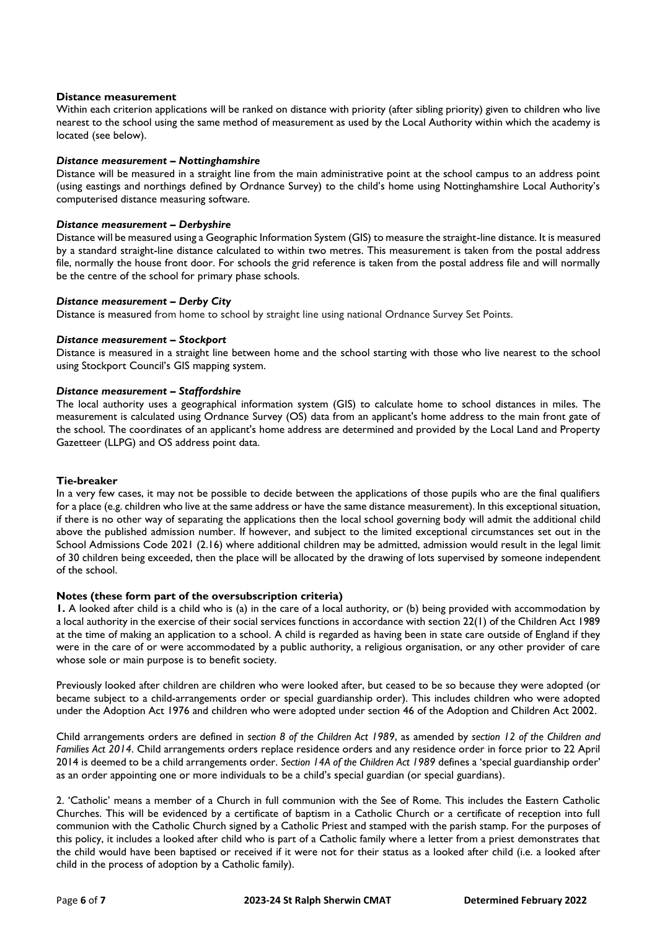## **Distance measurement**

Within each criterion applications will be ranked on distance with priority (after sibling priority) given to children who live nearest to the school using the same method of measurement as used by the Local Authority within which the academy is located (see below).

#### *Distance measurement – Nottinghamshire*

Distance will be measured in a straight line from the main administrative point at the school campus to an address point (using eastings and northings defined by Ordnance Survey) to the child's home using Nottinghamshire Local Authority's computerised distance measuring software.

#### *Distance measurement – Derbyshire*

Distance will be measured using a Geographic Information System (GIS) to measure the straight-line distance. It is measured by a standard straight-line distance calculated to within two metres. This measurement is taken from the postal address file, normally the house front door. For schools the grid reference is taken from the postal address file and will normally be the centre of the school for primary phase schools.

#### *Distance measurement – Derby City*

Distance is measured from home to school by straight line using national Ordnance Survey Set Points.

#### *Distance measurement – Stockport*

Distance is measured in a straight line between home and the school starting with those who live nearest to the school using Stockport Council's GIS mapping system.

#### *Distance measurement – Staffordshire*

The local authority uses a geographical information system (GIS) to calculate home to school distances in miles. The measurement is calculated using Ordnance Survey (OS) data from an applicant's home address to the main front gate of the school. The coordinates of an applicant's home address are determined and provided by the Local Land and Property Gazetteer (LLPG) and OS address point data.

## **Tie-breaker**

In a very few cases, it may not be possible to decide between the applications of those pupils who are the final qualifiers for a place (e.g. children who live at the same address or have the same distance measurement). In this exceptional situation, if there is no other way of separating the applications then the local school governing body will admit the additional child above the published admission number. If however, and subject to the limited exceptional circumstances set out in the School Admissions Code 2021 (2.16) where additional children may be admitted, admission would result in the legal limit of 30 children being exceeded, then the place will be allocated by the drawing of lots supervised by someone independent of the school.

## **Notes (these form part of the oversubscription criteria)**

**1.** A looked after child is a child who is (a) in the care of a local authority, or (b) being provided with accommodation by a local authority in the exercise of their social services functions in accordance with section 22(1) of the Children Act 1989 at the time of making an application to a school. A child is regarded as having been in state care outside of England if they were in the care of or were accommodated by a public authority, a religious organisation, or any other provider of care whose sole or main purpose is to benefit society.

Previously looked after children are children who were looked after, but ceased to be so because they were adopted (or became subject to a child-arrangements order or special guardianship order). This includes children who were adopted under the Adoption Act 1976 and children who were adopted under section 46 of the Adoption and Children Act 2002.

Child arrangements orders are defined in *section 8 of the Children Act 1989*, as amended by *section 12 of the Children and Families Act 2014*. Child arrangements orders replace residence orders and any residence order in force prior to 22 April 2014 is deemed to be a child arrangements order. *Section 14A of the Children Act 1989* defines a 'special guardianship order' as an order appointing one or more individuals to be a child's special guardian (or special guardians).

2. 'Catholic' means a member of a Church in full communion with the See of Rome. This includes the Eastern Catholic Churches. This will be evidenced by a certificate of baptism in a Catholic Church or a certificate of reception into full communion with the Catholic Church signed by a Catholic Priest and stamped with the parish stamp. For the purposes of this policy, it includes a looked after child who is part of a Catholic family where a letter from a priest demonstrates that the child would have been baptised or received if it were not for their status as a looked after child (i.e. a looked after child in the process of adoption by a Catholic family).